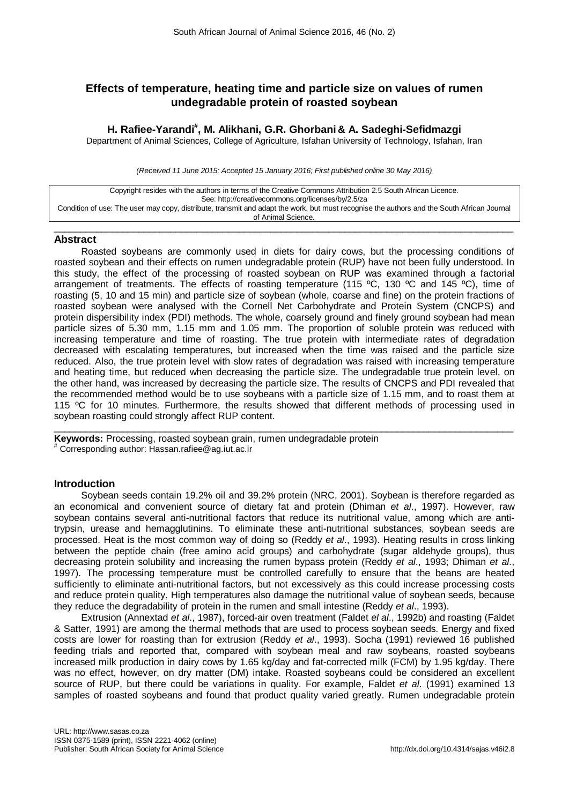# **Effects of temperature, heating time and particle size on values of rumen undegradable protein of roasted soybean**

# **H. Rafiee-Yarandi# , M. Alikhani, G.R. Ghorbani & A. Sadeghi-Sefidmazgi**

Department of Animal Sciences, College of Agriculture, Isfahan University of Technology, Isfahan, Iran

*(Received 11 June 2015; Accepted 15 January 2016; First published online 30 May 2016)*

Copyright resides with the authors in terms of the Creative Commons Attribution 2.5 South African Licence. See: http://creativecommons.org/licenses/by/2.5/za Condition of use: The user may copy, distribute, transmit and adapt the work, but must recognise the authors and the South African Journal of Animal Science.

\_\_\_\_\_\_\_\_\_\_\_\_\_\_\_\_\_\_\_\_\_\_\_\_\_\_\_\_\_\_\_\_\_\_\_\_\_\_\_\_\_\_\_\_\_\_\_\_\_\_\_\_\_\_\_\_\_\_\_\_\_\_\_\_\_\_\_\_\_\_\_\_\_\_\_\_\_\_\_\_\_\_\_\_\_\_\_

## **Abstract**

Roasted soybeans are commonly used in diets for dairy cows, but the processing conditions of roasted soybean and their effects on rumen undegradable protein (RUP) have not been fully understood. In this study, the effect of the processing of roasted soybean on RUP was examined through a factorial arrangement of treatments. The effects of roasting temperature (115 °C, 130 °C and 145 °C), time of roasting (5, 10 and 15 min) and particle size of soybean (whole, coarse and fine) on the protein fractions of roasted soybean were analysed with the Cornell Net Carbohydrate and Protein System (CNCPS) and protein dispersibility index (PDI) methods. The whole, coarsely ground and finely ground soybean had mean particle sizes of 5.30 mm, 1.15 mm and 1.05 mm. The proportion of soluble protein was reduced with increasing temperature and time of roasting. The true protein with intermediate rates of degradation decreased with escalating temperatures, but increased when the time was raised and the particle size reduced. Also, the true protein level with slow rates of degradation was raised with increasing temperature and heating time, but reduced when decreasing the particle size. The undegradable true protein level, on the other hand, was increased by decreasing the particle size. The results of CNCPS and PDI revealed that the recommended method would be to use soybeans with a particle size of 1.15 mm, and to roast them at 115 °C for 10 minutes. Furthermore, the results showed that different methods of processing used in soybean roasting could strongly affect RUP content.

\_\_\_\_\_\_\_\_\_\_\_\_\_\_\_\_\_\_\_\_\_\_\_\_\_\_\_\_\_\_\_\_\_\_\_\_\_\_\_\_\_\_\_\_\_\_\_\_\_\_\_\_\_\_\_\_\_\_\_\_\_\_\_\_\_\_\_\_\_\_\_\_\_\_\_\_\_\_\_\_\_\_\_\_\_\_\_

**Keywords:** Processing, roasted soybean grain, rumen undegradable protein # Corresponding author: Hassan.rafiee@ag.iut.ac.ir

## **Introduction**

Soybean seeds contain 19.2% oil and 39.2% protein (NRC, 2001). Soybean is therefore regarded as an economical and convenient source of dietary fat and protein (Dhiman *et al*., 1997). However, raw soybean contains several anti-nutritional factors that reduce its nutritional value, among which are antitrypsin, urease and hemagglutinins. To eliminate these anti-nutritional substances, soybean seeds are processed. Heat is the most common way of doing so (Reddy *et al*., 1993). Heating results in cross linking between the peptide chain (free amino acid groups) and carbohydrate (sugar aldehyde groups), thus decreasing protein solubility and increasing the rumen bypass protein (Reddy *et al*., 1993; Dhiman *et al*., 1997). The processing temperature must be controlled carefully to ensure that the beans are heated sufficiently to eliminate anti-nutritional factors, but not excessively as this could increase processing costs and reduce protein quality. High temperatures also damage the nutritional value of soybean seeds, because they reduce the degradability of protein in the rumen and small intestine (Reddy *et al*., 1993).

Extrusion (Annextad *et al*., 1987), forced-air oven treatment (Faldet *el al*., 1992b) and roasting (Faldet & Satter, 1991) are among the thermal methods that are used to process soybean seeds. Energy and fixed costs are lower for roasting than for extrusion (Reddy *et al*., 1993). Socha (1991) reviewed 16 published feeding trials and reported that, compared with soybean meal and raw soybeans, roasted soybeans increased milk production in dairy cows by 1.65 kg/day and fat-corrected milk (FCM) by 1.95 kg/day. There was no effect, however, on dry matter (DM) intake. Roasted soybeans could be considered an excellent source of RUP, but there could be variations in quality. For example, Faldet *et al*. (1991) examined 13 samples of roasted soybeans and found that product quality varied greatly. Rumen undegradable protein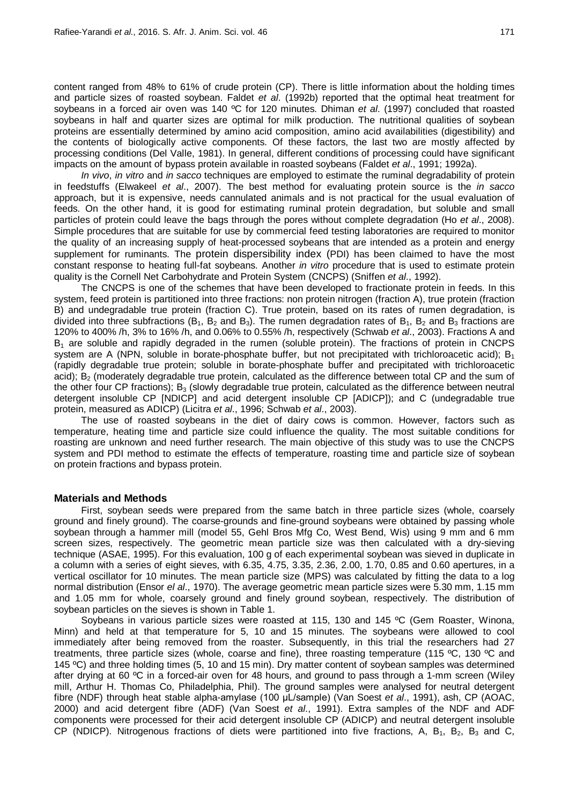content ranged from 48% to 61% of crude protein (CP). There is little information about the holding times and particle sizes of roasted soybean. Faldet *et al*. (1992b) reported that the optimal heat treatment for soybeans in a forced air oven was 140 ºC for 120 minutes. Dhiman *et al*. (1997) concluded that roasted soybeans in half and quarter sizes are optimal for milk production. The nutritional qualities of soybean proteins are essentially determined by amino acid composition, amino acid availabilities (digestibility) and the contents of biologically active components. Of these factors, the last two are mostly affected by processing conditions (Del Valle, 1981). In general, different conditions of processing could have significant impacts on the amount of bypass protein available in roasted soybeans (Faldet *et al*., 1991; 1992a).

*In vivo*, *in vitro* and *in sacco* techniques are employed to estimate the ruminal degradability of protein in feedstuffs (Elwakeel *et al*., 2007). The best method for evaluating protein source is the *in sacco* approach, but it is expensive, needs cannulated animals and is not practical for the usual evaluation of feeds. On the other hand, it is good for estimating ruminal protein degradation, but soluble and small particles of protein could leave the bags through the pores without complete degradation (Ho *et al*., 2008). Simple procedures that are suitable for use by commercial feed testing laboratories are required to monitor the quality of an increasing supply of heat-processed soybeans that are intended as a protein and energy supplement for ruminants. The protein dispersibility index (PDI) has been claimed to have the most constant response to heating full-fat soybeans. Another *in vitro* procedure that is used to estimate protein quality is the Cornell Net Carbohydrate and Protein System (CNCPS) (Sniffen *et al*., 1992).

The CNCPS is one of the schemes that have been developed to fractionate protein in feeds. In this system, feed protein is partitioned into three fractions: non protein nitrogen (fraction A), true protein (fraction B) and undegradable true protein (fraction C). True protein, based on its rates of rumen degradation, is divided into three subfractions ( $B_1$ ,  $B_2$  and  $B_3$ ). The rumen degradation rates of  $B_1$ ,  $B_2$  and  $B_3$  fractions are 120% to 400% /h, 3% to 16% /h, and 0.06% to 0.55% /h, respectively (Schwab *et al*., 2003). Fractions A and B1 are soluble and rapidly degraded in the rumen (soluble protein). The fractions of protein in CNCPS system are A (NPN, soluble in borate-phosphate buffer, but not precipitated with trichloroacetic acid);  $B_1$ (rapidly degradable true protein; soluble in borate-phosphate buffer and precipitated with trichloroacetic acid); B<sub>2</sub> (moderately degradable true protein, calculated as the difference between total CP and the sum of the other four CP fractions);  $B_3$  (slowly degradable true protein, calculated as the difference between neutral detergent insoluble CP [NDICP] and acid detergent insoluble CP [ADICP]); and C (undegradable true protein, measured as ADICP) (Licitra *et al*., 1996; Schwab *et al*., 2003).

The use of roasted soybeans in the diet of dairy cows is common. However, factors such as temperature, heating time and particle size could influence the quality. The most suitable conditions for roasting are unknown and need further research. The main objective of this study was to use the CNCPS system and PDI method to estimate the effects of temperature, roasting time and particle size of soybean on protein fractions and bypass protein.

## **Materials and Methods**

First, soybean seeds were prepared from the same batch in three particle sizes (whole, coarsely ground and finely ground). The coarse-grounds and fine-ground soybeans were obtained by passing whole soybean through a hammer mill (model 55, Gehl Bros Mfg Co, West Bend, Wis) using 9 mm and 6 mm screen sizes, respectively. The geometric mean particle size was then calculated with a dry-sieving technique (ASAE, 1995). For this evaluation, 100 g of each experimental soybean was sieved in duplicate in a column with a series of eight sieves, with 6.35, 4.75, 3.35, 2.36, 2.00, 1.70, 0.85 and 0.60 apertures, in a vertical oscillator for 10 minutes. The mean particle size (MPS) was calculated by fitting the data to a log normal distribution (Ensor *el al*., 1970). The average geometric mean particle sizes were 5.30 mm, 1.15 mm and 1.05 mm for whole, coarsely ground and finely ground soybean, respectively. The distribution of soybean particles on the sieves is shown in Table 1.

Soybeans in various particle sizes were roasted at 115, 130 and 145 ºC (Gem Roaster, Winona, Minn) and held at that temperature for 5, 10 and 15 minutes. The soybeans were allowed to cool immediately after being removed from the roaster. Subsequently, in this trial the researchers had 27 treatments, three particle sizes (whole, coarse and fine), three roasting temperature (115 ºC, 130 ºC and 145 ºC) and three holding times (5, 10 and 15 min). Dry matter content of soybean samples was determined after drying at 60 ºC in a forced-air oven for 48 hours, and ground to pass through a 1-mm screen (Wiley mill, Arthur H. Thomas Co, Philadelphia, Phil). The ground samples were analysed for neutral detergent fibre (NDF) through heat stable alpha-amylase (100 μL/sample) (Van Soest *et al*., 1991), ash, CP (AOAC, 2000) and acid detergent fibre (ADF) (Van Soest *et al*., 1991). Extra samples of the NDF and ADF components were processed for their acid detergent insoluble CP (ADICP) and neutral detergent insoluble CP (NDICP). Nitrogenous fractions of diets were partitioned into five fractions, A, B<sub>1</sub>, B<sub>2</sub>, B<sub>3</sub> and C,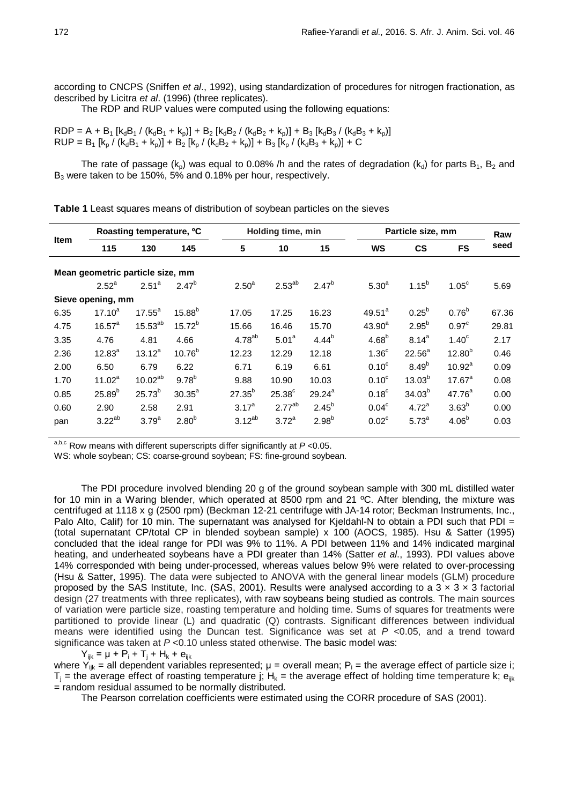according to CNCPS (Sniffen *et al*., 1992), using standardization of procedures for nitrogen fractionation, as described by Licitra *et al*. (1996) (three replicates).

The RDP and RUP values were computed using the following equations:

 $RDP = A + B_1 [k_dB_1 / (k_dB_1 + k_p)] + B_2 [k_dB_2 / (k_dB_2 + k_p)] + B_3 [k_dB_3 / (k_dB_3 + k_p)]$  $RUP = B_1 [k_p / (k_dB_1 + k_p)] + B_2 [k_p / (k_dB_2 + k_p)] + B_3 [k_p / (k_dB_3 + k_p)] + C$ 

The rate of passage ( $k_p$ ) was equal to 0.08% /h and the rates of degradation ( $k_q$ ) for parts  $B_1$ ,  $B_2$  and B<sub>3</sub> were taken to be 150%, 5% and 0.18% per hour, respectively.

| <b>Item</b> | Roasting temperature, <sup>o</sup> C |                                  |                   |                   | Holding time, min |                   |                   | Particle size, mm |                   |       |  |
|-------------|--------------------------------------|----------------------------------|-------------------|-------------------|-------------------|-------------------|-------------------|-------------------|-------------------|-------|--|
|             | 115                                  | 130                              | 145               | 5                 | 10                | 15                | WS                | <b>CS</b>         | <b>FS</b>         | seed  |  |
|             |                                      | Mean geometric particle size, mm |                   |                   |                   |                   |                   |                   |                   |       |  |
|             | $2.52^a$                             | 2.51 <sup>a</sup>                | $2.47^{b}$        | 2.50 <sup>a</sup> | $2.53^{ab}$       | $2.47^{b}$        | 5.30 <sup>a</sup> | $1.15^{b}$        | 1.05 <sup>c</sup> | 5.69  |  |
|             | Sieve opening, mm                    |                                  |                   |                   |                   |                   |                   |                   |                   |       |  |
| 6.35        | $17.10^{a}$                          | $17.55^{\circ}$                  | $15.88^{b}$       | 17.05             | 17.25             | 16.23             | $49.51^a$         | $0.25^{b}$        | $0.76^{b}$        | 67.36 |  |
| 4.75        | $16.57^{\circ}$                      | $15.53^{ab}$                     | $15.72^{b}$       | 15.66             | 16.46             | 15.70             | $43.90^a$         | $2.95^{b}$        | 0.97 <sup>c</sup> | 29.81 |  |
| 3.35        | 4.76                                 | 4.81                             | 4.66              | $4.78^{ab}$       | 5.01 <sup>a</sup> | $4.44^{b}$        | $4.68^{b}$        | $8.14^{a}$        | 1.40 <sup>c</sup> | 2.17  |  |
| 2.36        | $12.83^{a}$                          | $13.12^{a}$                      | $10.76^{b}$       | 12.23             | 12.29             | 12.18             | 1.36 <sup>c</sup> | $22.56^a$         | $12.80^{b}$       | 0.46  |  |
| 2.00        | 6.50                                 | 6.79                             | 6.22              | 6.71              | 6.19              | 6.61              | 0.10 <sup>c</sup> | $8.49^{b}$        | $10.92^a$         | 0.09  |  |
| 1.70        | $11.02^a$                            | $10.02^{ab}$                     | $9.78^{b}$        | 9.88              | 10.90             | 10.03             | 0.10 <sup>c</sup> | $13.03^{b}$       | $17.67^a$         | 0.08  |  |
| 0.85        | $25.89^{b}$                          | $25.73^{b}$                      | $30.35^a$         | $27.35^{b}$       | $25.38^\circ$     | $29.24^{a}$       | $0.18^{\circ}$    | $34.03^{b}$       | $47.76^{a}$       | 0.00  |  |
| 0.60        | 2.90                                 | 2.58                             | 2.91              | $3.17^{a}$        | $2.77^{ab}$       | $2.45^{b}$        | 0.04 <sup>c</sup> | $4.72^{\text{a}}$ | 3.63 <sup>b</sup> | 0.00  |  |
| pan         | $3.22^{ab}$                          | 3.79 <sup>a</sup>                | 2.80 <sup>b</sup> | $3.12^{ab}$       | $3.72^a$          | 2.98 <sup>b</sup> | $0.02^{\circ}$    | $5.73^{a}$        | 4.06 <sup>b</sup> | 0.03  |  |

**Table 1** Least squares means of distribution of soybean particles on the sieves

a,b,c Row means with different superscripts differ significantly at *P* <0.05.

WS: whole soybean; CS: coarse-ground soybean; FS: fine-ground soybean.

The PDI procedure involved blending 20 g of the ground soybean sample with 300 mL distilled water for 10 min in a Waring blender, which operated at 8500 rpm and 21 ºC. After blending, the mixture was centrifuged at 1118 x g (2500 rpm) (Beckman 12-21 centrifuge with JA-14 rotor; Beckman Instruments, Inc., Palo Alto, Calif) for 10 min. The supernatant was analysed for Kjeldahl-N to obtain a PDI such that PDI = (total supernatant CP/total CP in blended soybean sample) x 100 (AOCS, 1985). Hsu & Satter (1995) concluded that the ideal range for PDI was 9% to 11%. A PDI between 11% and 14% indicated marginal heating, and underheated soybeans have a PDI greater than 14% (Satter *et al*., 1993). PDI values above 14% corresponded with being under-processed, whereas values below 9% were related to over-processing (Hsu & Satter, 1995). The data were subjected to ANOVA with the general linear models (GLM) procedure proposed by the SAS Institute, Inc. (SAS, 2001). Results were analysed according to a  $3 \times 3 \times 3$  factorial design (27 treatments with three replicates), with raw soybeans being studied as controls. The main sources of variation were particle size, roasting temperature and holding time. Sums of squares for treatments were partitioned to provide linear (L) and quadratic (Q) contrasts. Significant differences between individual means were identified using the Duncan test. Significance was set at *P* <0.05, and a trend toward significance was taken at *P* <0.10 unless stated otherwise. The basic model was:

 $Y_{iik} = \mu + P_i + T_i + H_k + e_{iik}$ 

where Y<sub>ijk</sub> = all dependent variables represented;  $\mu$  = overall mean; P<sub>i</sub> = the average effect of particle size i;  $T_i$  = the average effect of roasting temperature j; H<sub>k</sub> = the average effect of holding time temperature k; e<sub>ijk</sub>  $=$  random residual assumed to be normally distributed.

The Pearson correlation coefficients were estimated using the CORR procedure of SAS (2001).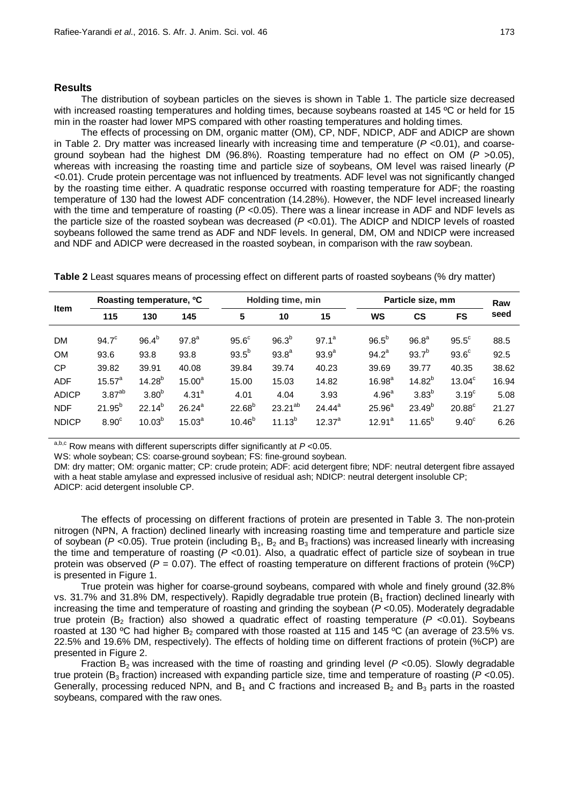#### **Results**

The distribution of soybean particles on the sieves is shown in Table 1. The particle size decreased with increased roasting temperatures and holding times, because soybeans roasted at 145 °C or held for 15 min in the roaster had lower MPS compared with other roasting temperatures and holding times.

The effects of processing on DM, organic matter (OM), CP, NDF, NDICP, ADF and ADICP are shown in Table 2. Dry matter was increased linearly with increasing time and temperature  $(P < 0.01)$ , and coarseground soybean had the highest DM (96.8%). Roasting temperature had no effect on OM (*P* >0.05), whereas with increasing the roasting time and particle size of soybeans, OM level was raised linearly (*P* <0.01). Crude protein percentage was not influenced by treatments. ADF level was not significantly changed by the roasting time either. A quadratic response occurred with roasting temperature for ADF; the roasting temperature of 130 had the lowest ADF concentration (14.28%). However, the NDF level increased linearly with the time and temperature of roasting ( $P \le 0.05$ ). There was a linear increase in ADF and NDF levels as the particle size of the roasted soybean was decreased (*P* <0.01). The ADICP and NDICP levels of roasted soybeans followed the same trend as ADF and NDF levels. In general, DM, OM and NDICP were increased and NDF and ADICP were decreased in the roasted soybean, in comparison with the raw soybean.

**Table 2** Least squares means of processing effect on different parts of roasted soybeans (% dry matter)

| <b>Item</b>  | Roasting temperature, <sup>o</sup> C |                   |                   |                   | Holding time, min |             | Particle size, mm  | Raw               |                    |       |
|--------------|--------------------------------------|-------------------|-------------------|-------------------|-------------------|-------------|--------------------|-------------------|--------------------|-------|
|              | 115                                  | 130               | 145               | 5                 | 10                | 15          | WS                 | <b>CS</b>         | <b>FS</b>          | seed  |
| <b>DM</b>    | 94.7 <sup>c</sup>                    | $96.4^{b}$        | 97.8 <sup>a</sup> | 95.6 <sup>c</sup> | 96.3 <sup>b</sup> | $97.1^a$    | $96.5^{b}$         | 96.8 <sup>a</sup> | $95.5^{\circ}$     | 88.5  |
| <b>OM</b>    | 93.6                                 | 93.8              | 93.8              | $93.5^{b}$        | $93.8^{a}$        | $93.9^{a}$  | $94.2^a$           | $93.7^{b}$        | 93.6 <sup>c</sup>  | 92.5  |
| <b>CP</b>    | 39.82                                | 39.91             | 40.08             | 39.84             | 39.74             | 40.23       | 39.69              | 39.77             | 40.35              | 38.62 |
| <b>ADF</b>   | $15.57^{a}$                          | $14.28^{b}$       | $15.00^a$         | 15.00             | 15.03             | 14.82       | $16.98^{a}$        | $14.82^{b}$       | 13.04 <sup>c</sup> | 16.94 |
| <b>ADICP</b> | 3.87 <sup>ab</sup>                   | 3.80 <sup>b</sup> | $4.31^{a}$        | 4.01              | 4.04              | 3.93        | 4.96 <sup>a</sup>  | 3.83 <sup>b</sup> | 3.19 <sup>c</sup>  | 5.08  |
| <b>NDF</b>   | $21.95^{b}$                          | $22.14^{b}$       | $26.24^{a}$       | $22.68^{b}$       | $23.21^{ab}$      | $24.44^a$   | 25.96 <sup>a</sup> | $23.49^{b}$       | $20.88^{\circ}$    | 21.27 |
| <b>NDICP</b> | 8.90 <sup>c</sup>                    | $10.03^{b}$       | $15.03^{a}$       | $10.46^{b}$       | $11.13^{b}$       | $12.37^{a}$ | $12.91^a$          | $11.65^{b}$       | $9.40^{\circ}$     | 6.26  |

a,b,c Row means with different superscripts differ significantly at *P* <0.05.

WS: whole soybean; CS: coarse-ground soybean; FS: fine-ground soybean.

DM: dry matter; OM: organic matter; CP: crude protein; ADF: acid detergent fibre; NDF: neutral detergent fibre assayed with a heat stable amylase and expressed inclusive of residual ash; NDICP: neutral detergent insoluble CP; ADICP: acid detergent insoluble CP.

The effects of processing on different fractions of protein are presented in Table 3. The non-protein nitrogen (NPN, A fraction) declined linearly with increasing roasting time and temperature and particle size of soybean ( $P$  <0.05). True protein (including  $B_1$ ,  $B_2$  and  $B_3$  fractions) was increased linearly with increasing the time and temperature of roasting (*P* <0.01). Also, a quadratic effect of particle size of soybean in true protein was observed (*P* = 0.07). The effect of roasting temperature on different fractions of protein (%CP) is presented in Figure 1.

True protein was higher for coarse-ground soybeans, compared with whole and finely ground (32.8% vs. 31.7% and 31.8% DM, respectively). Rapidly degradable true protein ( $B<sub>1</sub>$  fraction) declined linearly with increasing the time and temperature of roasting and grinding the soybean (*P* <0.05). Moderately degradable true protein ( $B_2$  fraction) also showed a quadratic effect of roasting temperature ( $P$  <0.01). Soybeans roasted at 130 °C had higher B<sub>2</sub> compared with those roasted at 115 and 145 °C (an average of 23.5% vs. 22.5% and 19.6% DM, respectively). The effects of holding time on different fractions of protein (%CP) are presented in Figure 2.

Fraction  $B_2$  was increased with the time of roasting and grinding level ( $P$  <0.05). Slowly degradable true protein (B3 fraction) increased with expanding particle size, time and temperature of roasting (*P* <0.05). Generally, processing reduced NPN, and B<sub>1</sub> and C fractions and increased B<sub>2</sub> and B<sub>3</sub> parts in the roasted soybeans, compared with the raw ones.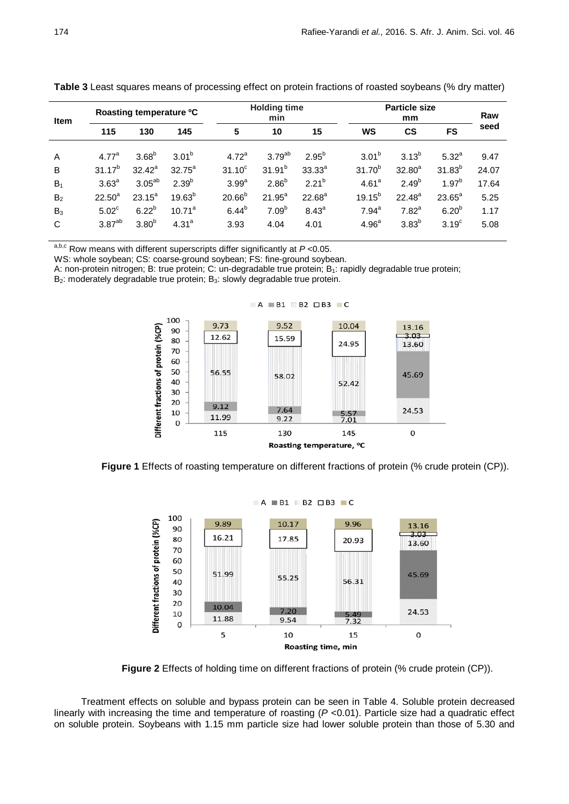| <b>Item</b>    | Roasting temperature <sup>o</sup> C |                   |             |                   | <b>Holding time</b><br>min |                   |                    | <b>Particle size</b><br>mm |                   |       |  |
|----------------|-------------------------------------|-------------------|-------------|-------------------|----------------------------|-------------------|--------------------|----------------------------|-------------------|-------|--|
|                | 115                                 | 130               | 145         | 5                 | 10                         | 15                | <b>WS</b>          | <b>CS</b>                  | <b>FS</b>         | seed  |  |
|                |                                     |                   |             |                   |                            |                   |                    |                            |                   |       |  |
| A              | 4.77 <sup>a</sup>                   | 3.68 <sup>b</sup> | $3.01^{b}$  | 4.72 <sup>a</sup> | 3.79 <sup>ab</sup>         | $2.95^{b}$        | $3.01^{b}$         | $3.13^{b}$                 | $5.32^{a}$        | 9.47  |  |
| B              | $31.17^{b}$                         | $32.42^a$         | $32.75^a$   | $31.10^c$         | $31.91^{b}$                | $33.33^{a}$       | 31.70 <sup>b</sup> | $32.80^{a}$                | $31.83^{b}$       | 24.07 |  |
| $B_1$          | 3.63 <sup>a</sup>                   | $3.05^{ab}$       | $2.39^{b}$  | 3.99 <sup>a</sup> | 2.86 <sup>b</sup>          | $2.21^{b}$        | 4.61 <sup>a</sup>  | $2.49^{b}$                 | $1.97^{b}$        | 17.64 |  |
| B <sub>2</sub> | $22.50^a$                           | $23.15^a$         | $19.63^{b}$ | $20.66^{b}$       | $21.95^a$                  | $22.68^a$         | $19.15^{b}$        | $22.48^a$                  | $23.65^a$         | 5.25  |  |
| $B_3$          | $5.02^{\circ}$                      | $6.22^{b}$        | $10.71^a$   | $6.44^{b}$        | 7.09 <sup>b</sup>          | 8.43 <sup>a</sup> | $7.94^{\circ}$     | 7.82 <sup>a</sup>          | 6.20 <sup>b</sup> | 1.17  |  |
| C              | 3.87 <sup>ab</sup>                  | 3.80 <sup>b</sup> | $4.31^{a}$  | 3.93              | 4.04                       | 4.01              | 4.96 <sup>a</sup>  | 3.83 <sup>b</sup>          | 3.19 <sup>c</sup> | 5.08  |  |
|                |                                     |                   |             |                   |                            |                   |                    |                            |                   |       |  |

**Table 3** Least squares means of processing effect on protein fractions of roasted soybeans (% dry matter)

a,b,c Row means with different superscripts differ significantly at *P* <0.05.

WS: whole soybean; CS: coarse-ground soybean; FS: fine-ground soybean.

A: non-protein nitrogen; B: true protein; C: un-degradable true protein; B1: rapidly degradable true protein;

B<sub>2</sub>: moderately degradable true protein: B<sub>3</sub>: slowly degradable true protein.



**Figure 1** Effects of roasting temperature on different fractions of protein (% crude protein (CP)).



**Figure 2** Effects of holding time on different fractions of protein (% crude protein (CP)).

Treatment effects on soluble and bypass protein can be seen in Table 4. Soluble protein decreased linearly with increasing the time and temperature of roasting ( $P$  <0.01). Particle size had a quadratic effect on soluble protein. Soybeans with 1.15 mm particle size had lower soluble protein than those of 5.30 and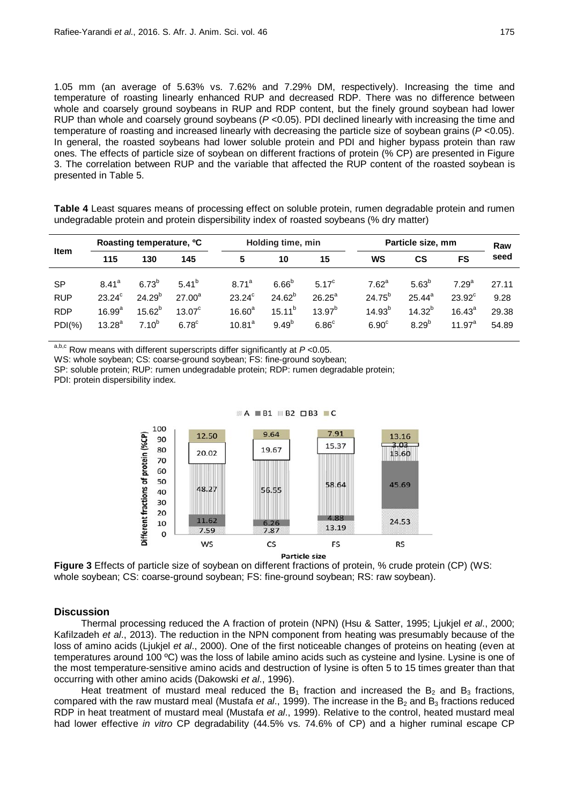1.05 mm (an average of 5.63% vs. 7.62% and 7.29% DM, respectively). Increasing the time and temperature of roasting linearly enhanced RUP and decreased RDP. There was no difference between whole and coarsely ground soybeans in RUP and RDP content, but the finely ground soybean had lower RUP than whole and coarsely ground soybeans (*P* <0.05). PDI declined linearly with increasing the time and temperature of roasting and increased linearly with decreasing the particle size of soybean grains (*P* <0.05). In general, the roasted soybeans had lower soluble protein and PDI and higher bypass protein than raw ones. The effects of particle size of soybean on different fractions of protein (% CP) are presented in Figure 3. The correlation between RUP and the variable that affected the RUP content of the roasted soybean is presented in Table 5.

**Table 4** Least squares means of processing effect on soluble protein, rumen degradable protein and rumen undegradable protein and protein dispersibility index of roasted soybeans (% dry matter)

| <b>Item</b>                                         | Roasting temperature, <sup>o</sup> C                        |                                                        |                                                              |                                                                         | Holding time, min                                             |                                                                 | Particle size, mm                                                  | Raw                                                        |                                                                |                                 |
|-----------------------------------------------------|-------------------------------------------------------------|--------------------------------------------------------|--------------------------------------------------------------|-------------------------------------------------------------------------|---------------------------------------------------------------|-----------------------------------------------------------------|--------------------------------------------------------------------|------------------------------------------------------------|----------------------------------------------------------------|---------------------------------|
|                                                     | 115                                                         | 130                                                    | 145                                                          | 5                                                                       | 10                                                            |                                                                 | WS<br>15                                                           |                                                            | FS                                                             | seed                            |
| <b>SP</b><br><b>RUP</b><br><b>RDP</b><br>$PDI(\% )$ | $8.41^{a}$<br>$23.24^{\circ}$<br>$16.99^{a}$<br>$13.28^{a}$ | $6.73^{b}$<br>$24.29^{b}$<br>$15.62^{b}$<br>$7.10^{b}$ | $5.41^{b}$<br>$27.00^a$<br>$13.07^{\circ}$<br>$6.78^{\circ}$ | 8 71 <sup>a</sup><br>$23.24^{\circ}$<br>$16.60^a$<br>10.81 <sup>a</sup> | 6.66 <sup>b</sup><br>$24.62^{b}$<br>$15.11^{b}$<br>$9.49^{b}$ | $5.17^{\circ}$<br>$26.25^a$<br>$13.97^{b}$<br>6.86 <sup>c</sup> | $7.62^a$<br>$24.75^{b}$<br>14.93 <sup>b</sup><br>6.90 <sup>c</sup> | $5.63^{b}$<br>$25.44^{\circ}$<br>$14.32^{b}$<br>$8.29^{b}$ | 7.29 <sup>a</sup><br>$23.92^{\circ}$<br>$16.43^a$<br>11.97 $a$ | 27.11<br>9.28<br>29.38<br>54.89 |

a,b,c Row means with different superscripts differ significantly at *P* <0.05.

WS: whole soybean; CS: coarse-ground soybean; FS: fine-ground soybean;

SP: soluble protein; RUP: rumen undegradable protein; RDP: rumen degradable protein;

PDI: protein dispersibility index.





## **Discussion**

Thermal processing reduced the A fraction of protein (NPN) (Hsu & Satter, 1995; Ljukjel *et al*., 2000; Kafilzadeh *et al*., 2013). The reduction in the NPN component from heating was presumably because of the loss of amino acids (Ljukjel *et al*., 2000). One of the first noticeable changes of proteins on heating (even at temperatures around 100 ºC) was the loss of labile amino acids such as cysteine and lysine. Lysine is one of the most temperature-sensitive amino acids and destruction of lysine is often 5 to 15 times greater than that occurring with other amino acids (Dakowski *et al*., 1996).

Heat treatment of mustard meal reduced the  $B_1$  fraction and increased the  $B_2$  and  $B_3$  fractions, compared with the raw mustard meal (Mustafa *et al.*, 1999). The increase in the B<sub>2</sub> and B<sub>3</sub> fractions reduced RDP in heat treatment of mustard meal (Mustafa *et al*., 1999). Relative to the control, heated mustard meal had lower effective *in vitro* CP degradability (44.5% vs. 74.6% of CP) and a higher ruminal escape CP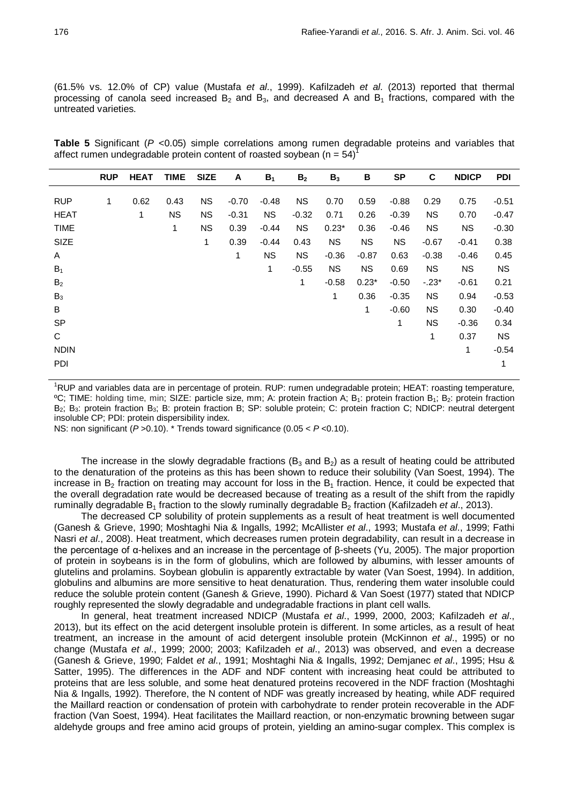(61.5% vs. 12.0% of CP) value (Mustafa *et al*., 1999). Kafilzadeh *et al*. (2013) reported that thermal processing of canola seed increased  $B_2$  and  $B_3$ , and decreased A and  $B_1$  fractions, compared with the untreated varieties.

**Table 5** Significant (*P* <0.05) simple correlations among rumen degradable proteins and variables that affect rumen undegradable protein content of roasted soybean ( $n = 54$ )

|                                          | <b>RUP</b> | <b>HEAT</b> | <b>TIME</b>            | <b>SIZE</b>                         | A                          | $B_1$                     | B <sub>2</sub>               | B <sub>3</sub>                    | В                                 | <b>SP</b>                     | C                               | <b>NDICP</b>                    | <b>PDI</b>                    |
|------------------------------------------|------------|-------------|------------------------|-------------------------------------|----------------------------|---------------------------|------------------------------|-----------------------------------|-----------------------------------|-------------------------------|---------------------------------|---------------------------------|-------------------------------|
| <b>RUP</b><br><b>HEAT</b><br><b>TIME</b> | 1          | 0.62<br>1   | 0.43<br><b>NS</b><br>1 | <b>NS</b><br><b>NS</b><br><b>NS</b> | $-0.70$<br>$-0.31$<br>0.39 | $-0.48$<br>NS.<br>$-0.44$ | <b>NS</b><br>$-0.32$<br>NS.  | 0.70<br>0.71<br>$0.23*$           | 0.59<br>0.26<br>0.36              | $-0.88$<br>$-0.39$<br>$-0.46$ | 0.29<br>ΝS<br><b>NS</b>         | 0.75<br>0.70<br>NS.             | $-0.51$<br>$-0.47$<br>$-0.30$ |
| SIZE<br>A<br>$B_1$                       |            |             |                        | 1                                   | 0.39<br>1                  | $-0.44$<br><b>NS</b><br>1 | 0.43<br><b>NS</b><br>$-0.55$ | <b>NS</b><br>$-0.36$<br><b>NS</b> | <b>NS</b><br>$-0.87$<br><b>NS</b> | <b>NS</b><br>0.63<br>0.69     | $-0.67$<br>$-0.38$<br><b>NS</b> | $-0.41$<br>$-0.46$<br><b>NS</b> | 0.38<br>0.45<br>NS.           |
| B <sub>2</sub><br>$B_3$                  |            |             |                        |                                     |                            |                           | 1                            | $-0.58$<br>1                      | $0.23*$<br>0.36                   | $-0.50$<br>$-0.35$            | $-.23*$<br><b>NS</b>            | $-0.61$<br>0.94                 | 0.21<br>$-0.53$               |
| В<br><b>SP</b><br>С                      |            |             |                        |                                     |                            |                           |                              |                                   | 1                                 | $-0.60$<br>1                  | <b>NS</b><br><b>NS</b><br>1     | 0.30<br>$-0.36$<br>0.37         | $-0.40$<br>0.34<br>NS.        |
| <b>NDIN</b><br>PDI                       |            |             |                        |                                     |                            |                           |                              |                                   |                                   |                               |                                 | 1                               | $-0.54$<br>1                  |

<sup>1</sup>RUP and variables data are in percentage of protein. RUP: rumen undegradable protein; HEAT: roasting temperature, ºC; TIME: holding time, min; SIZE: particle size, mm; A: protein fraction A; B1: protein fraction B1; B2: protein fraction B<sub>2</sub>; B<sub>3</sub>: protein fraction B<sub>3</sub>; B: protein fraction B; SP: soluble protein; C: protein fraction C; NDICP: neutral detergent insoluble CP; PDI: protein dispersibility index.

NS: non significant (*P* >0.10). \* Trends toward significance (0.05 < *P* <0.10).

The increase in the slowly degradable fractions ( $B_3$  and  $B_2$ ) as a result of heating could be attributed to the denaturation of the proteins as this has been shown to reduce their solubility (Van Soest, 1994). The increase in  $B_2$  fraction on treating may account for loss in the  $B_1$  fraction. Hence, it could be expected that the overall degradation rate would be decreased because of treating as a result of the shift from the rapidly ruminally degradable B<sub>1</sub> fraction to the slowly ruminally degradable B<sub>2</sub> fraction (Kafilzadeh *et al.*, 2013).

The decreased CP solubility of protein supplements as a result of heat treatment is well documented (Ganesh & Grieve, 1990; Moshtaghi Nia & Ingalls, 1992; McAllister *et al*., 1993; Mustafa *et al*., 1999; Fathi Nasri *et al*., 2008). Heat treatment, which decreases rumen protein degradability, can result in a decrease in the percentage of α-helixes and an increase in the percentage of β-sheets (Yu, 2005). The major proportion of protein in soybeans is in the form of globulins, which are followed by albumins, with lesser amounts of glutelins and prolamins. Soybean globulin is apparently extractable by water (Van Soest, 1994). In addition, globulins and albumins are more sensitive to heat denaturation. Thus, rendering them water insoluble could reduce the soluble protein content (Ganesh & Grieve, 1990). Pichard & Van Soest (1977) stated that NDICP roughly represented the slowly degradable and undegradable fractions in plant cell walls.

In general, heat treatment increased NDICP (Mustafa *et al*., 1999, 2000, 2003; Kafilzadeh *et al*., 2013), but its effect on the acid detergent insoluble protein is different. In some articles, as a result of heat treatment, an increase in the amount of acid detergent insoluble protein (McKinnon *et al*., 1995) or no change (Mustafa *et al*., 1999; 2000; 2003; Kafilzadeh *et al*., 2013) was observed, and even a decrease (Ganesh & Grieve, 1990; Faldet *et al*., 1991; Moshtaghi Nia & Ingalls, 1992; Demjanec *et al*., 1995; Hsu & Satter, 1995). The differences in the ADF and NDF content with increasing heat could be attributed to proteins that are less soluble, and some heat denatured proteins recovered in the NDF fraction (Moshtaghi Nia & Ingalls, 1992). Therefore, the N content of NDF was greatly increased by heating, while ADF required the Maillard reaction or condensation of protein with carbohydrate to render protein recoverable in the ADF fraction (Van Soest, 1994). Heat facilitates the Maillard reaction, or non-enzymatic browning between sugar aldehyde groups and free amino acid groups of protein, yielding an amino-sugar complex. This complex is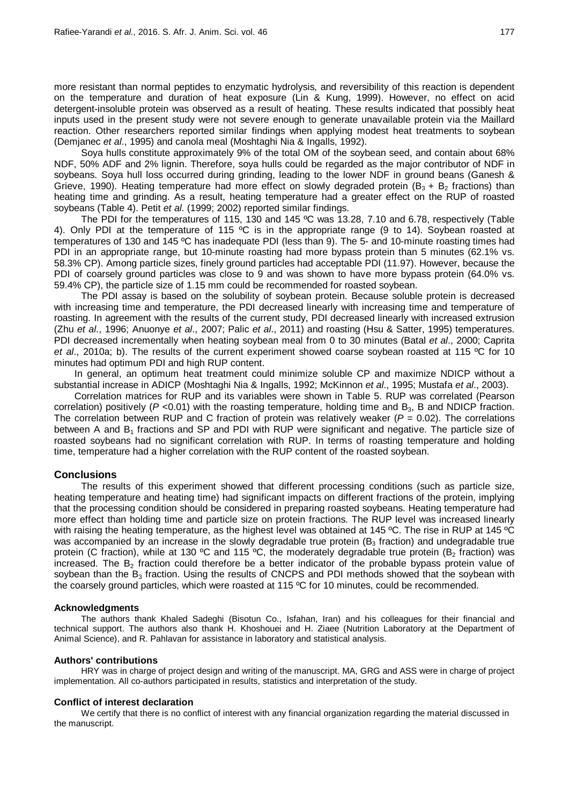more resistant than normal peptides to enzymatic hydrolysis, and reversibility of this reaction is dependent on the temperature and duration of heat exposure (Lin & Kung, 1999). However, no effect on acid detergent-insoluble protein was observed as a result of heating. These results indicated that possibly heat inputs used in the present study were not severe enough to generate unavailable protein via the Maillard reaction. Other researchers reported similar findings when applying modest heat treatments to soybean (Demjanec *et al*., 1995) and canola meal (Moshtaghi Nia & Ingalls, 1992).

Soya hulls constitute approximately 9% of the total OM of the soybean seed, and contain about 68% NDF, 50% ADF and 2% lignin. Therefore, soya hulls could be regarded as the major contributor of NDF in soybeans. Soya hull loss occurred during grinding, leading to the lower NDF in ground beans (Ganesh & Grieve, 1990). Heating temperature had more effect on slowly degraded protein ( $B_3 + B_2$  fractions) than heating time and grinding. As a result, heating temperature had a greater effect on the RUP of roasted soybeans (Table 4). Petit *et al*. (1999; 2002) reported similar findings.

The PDI for the temperatures of 115, 130 and 145 ºC was 13.28, 7.10 and 6.78, respectively (Table 4). Only PDI at the temperature of 115 ºC is in the appropriate range (9 to 14). Soybean roasted at temperatures of 130 and 145 ºC has inadequate PDI (less than 9). The 5- and 10-minute roasting times had PDI in an appropriate range, but 10-minute roasting had more bypass protein than 5 minutes (62.1% vs. 58.3% CP). Among particle sizes, finely ground particles had acceptable PDI (11.97). However, because the PDI of coarsely ground particles was close to 9 and was shown to have more bypass protein (64.0% vs. 59.4% CP), the particle size of 1.15 mm could be recommended for roasted soybean.

The PDI assay is based on the solubility of soybean protein. Because soluble protein is decreased with increasing time and temperature, the PDI decreased linearly with increasing time and temperature of roasting. In agreement with the results of the current study, PDI decreased linearly with increased extrusion (Zhu *et al*., 1996; Anuonye *et al*., 2007; Palic *et al*., 2011) and roasting (Hsu & Satter, 1995) temperatures. PDI decreased incrementally when heating soybean meal from 0 to 30 minutes (Batal *et al*., 2000; Caprita *et al*., 2010a; b). The results of the current experiment showed coarse soybean roasted at 115 ºC for 10 minutes had optimum PDI and high RUP content.

In general, an optimum heat treatment could minimize soluble CP and maximize NDICP without a substantial increase in ADICP (Moshtaghi Nia & Ingalls, 1992; McKinnon *et al*., 1995; Mustafa *et al*., 2003).

Correlation matrices for RUP and its variables were shown in Table 5. RUP was correlated (Pearson correlation) positively ( $P < 0.01$ ) with the roasting temperature, holding time and  $B<sub>3</sub>$ , B and NDICP fraction. The correlation between RUP and C fraction of protein was relatively weaker  $(P = 0.02)$ . The correlations between A and  $B_1$  fractions and SP and PDI with RUP were significant and negative. The particle size of roasted soybeans had no significant correlation with RUP. In terms of roasting temperature and holding time, temperature had a higher correlation with the RUP content of the roasted soybean.

### **Conclusions**

The results of this experiment showed that different processing conditions (such as particle size, heating temperature and heating time) had significant impacts on different fractions of the protein, implying that the processing condition should be considered in preparing roasted soybeans. Heating temperature had more effect than holding time and particle size on protein fractions. The RUP level was increased linearly with raising the heating temperature, as the highest level was obtained at 145 °C. The rise in RUP at 145 °C was accompanied by an increase in the slowly degradable true protein  $(B_3$  fraction) and undegradable true protein (C fraction), while at 130 °C and 115 °C, the moderately degradable true protein (B<sub>2</sub> fraction) was increased. The  $B_2$  fraction could therefore be a better indicator of the probable bypass protein value of soybean than the  $B_3$  fraction. Using the results of CNCPS and PDI methods showed that the soybean with the coarsely ground particles, which were roasted at 115 ºC for 10 minutes, could be recommended.

#### **Acknowledgments**

The authors thank Khaled Sadeghi (Bisotun Co., Isfahan, Iran) and his colleagues for their financial and technical support. The authors also thank H. Khoshouei and H. Ziaee (Nutrition Laboratory at the Department of Animal Science), and R. Pahlavan for assistance in laboratory and statistical analysis.

### **Authors' contributions**

HRY was in charge of project design and writing of the manuscript. MA, GRG and ASS were in charge of project implementation. All co-authors participated in results, statistics and interpretation of the study.

#### **Conflict of interest declaration**

We certify that there is no conflict of interest with any financial organization regarding the material discussed in the manuscript.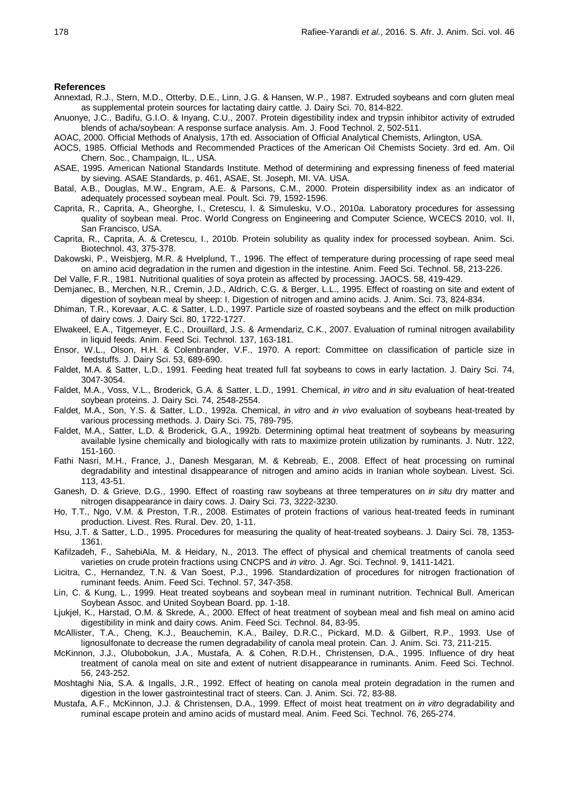#### **References**

- Annextad, R.J., Stern, M.D., Otterby, D.E., Linn, J.G. & Hansen, W.P., 1987. Extruded soybeans and corn gluten meal as supplemental protein sources for lactating dairy cattle. J. Dairy Sci. 70, 814-822.
- Anuonye, J.C., Badifu, G.I.O. & Inyang, C.U., 2007. Protein digestibility index and trypsin inhibitor activity of extruded blends of acha/soybean: A response surface analysis. Am. J. Food Technol. 2, 502-511.
- AOAC, 2000. Official Methods of Analysis, 17th ed. Association of Official Analytical Chemists, Arlington, USA.
- AOCS, 1985. Official Methods and Recommended Practices of the American Oil Chemists Society. 3rd ed. Am. Oil Chern. Soc., Champaign, IL., USA.
- ASAE, 1995. American National Standards Institute. Method of determining and expressing fineness of feed material by sieving. ASAE Standards, p. 461, ASAE, St. Joseph, MI. VA. USA.
- Batal, A.B., Douglas, M.W., Engram, A.E. & Parsons, C.M., 2000. Protein dispersibility index as an indicator of adequately processed soybean meal. Poult. Sci. 79, 1592-1596.
- Caprita, R., Caprita, A., Gheorghe, I., Cretescu, I. & Simulesku, V.O., 2010a. Laboratory procedures for assessing quality of soybean meal. Proc. World Congress on Engineering and Computer Science, WCECS 2010, vol. II, San Francisco, USA.
- Caprita, R., Caprita, A. & Cretescu, I., 2010b. Protein solubility as quality index for processed soybean. Anim. Sci. Biotechnol. 43, 375-378.
- Dakowski, P., Weisbjerg, M.R. & Hvelplund, T., 1996. The effect of temperature during processing of rape seed meal on amino acid degradation in the rumen and digestion in the intestine. Anim. Feed Sci. Technol. 58, 213-226.
- Del Valle, F.R., 1981. Nutritional qualities of soya protein as affected by processing. JAOCS. 58, 419-429.
- Demjanec, B., Merchen, N.R., Cremin, J.D., Aldrich, C.G. & Berger, L.L., 1995. Effect of roasting on site and extent of digestion of soybean meal by sheep: I. Digestion of nitrogen and amino acids. J. Anim. Sci. 73, 824-834.
- Dhiman, T.R., Korevaar, A.C. & Satter, L.D., 1997. Particle size of roasted soybeans and the effect on milk production of dairy cows. J. Dairy Sci. 80, 1722-1727.
- Elwakeel, E.A., Titgemeyer, E.C., Drouillard, J.S. & Armendariz, C.K., 2007. Evaluation of ruminal nitrogen availability in liquid feeds. Anim. Feed Sci. Technol. 137, 163-181.
- Ensor, W.L., Olson, H.H. & Colenbrander, V.F., 1970. A report: Committee on classification of particle size in feedstuffs. J. Dairy Sci. 53, 689-690.
- Faldet, M.A. & Satter, L.D., 1991. Feeding heat treated full fat soybeans to cows in early lactation. J. Dairy Sci. 74, 3047-3054.
- Faldet, M.A., Voss, V.L., Broderick, G.A. & Satter, L.D., 1991. Chemical, *in vitro* and *in situ* evaluation of heat-treated soybean proteins. J. Dairy Sci. 74, 2548-2554.
- Faldet, M.A., Son, Y.S. & Satter, L.D., 1992a. Chemical, *in vitro* and *in vivo* evaluation of soybeans heat-treated by various processing methods. J. Dairy Sci. 75, 789-795.
- Faldet, M.A., Satter, L.D. & Broderick, G.A., 1992b. Determining optimal heat treatment of soybeans by measuring available lysine chemically and biologically with rats to maximize protein utilization by ruminants. J. Nutr. 122, 151-160.
- Fathi Nasri, M.H., France, J., Danesh Mesgaran, M. & Kebreab, E., 2008. Effect of heat processing on ruminal degradability and intestinal disappearance of nitrogen and amino acids in Iranian whole soybean. Livest. Sci. 113, 43-51.
- Ganesh, D. & Grieve, D.G., 1990. Effect of roasting raw soybeans at three temperatures on *in situ* dry matter and nitrogen disappearance in dairy cows. J. Dairy Sci. 73, 3222-3230.
- Ho, T.T., Ngo, V.M. & Preston, T.R., 2008. Estimates of protein fractions of various heat-treated feeds in ruminant production. Livest. Res. Rural. Dev. 20, 1-11.
- Hsu, J.T. & Satter, L.D., 1995. Procedures for measuring the quality of heat-treated soybeans. J. Dairy Sci. 78, 1353- 1361.
- Kafilzadeh, F., SahebiAla, M. & Heidary, N., 2013. The effect of physical and chemical treatments of canola seed varieties on crude protein fractions using CNCPS and *in vitro*. J. Agr. Sci. Technol. 9, 1411-1421.
- Licitra, C., Hernandez, T.N. & Van Soest, P.J., 1996. Standardization of procedures for nitrogen fractionation of ruminant feeds. Anim. Feed Sci. Technol. 57, 347-358.
- Lin, C. & Kung, L., 1999. Heat treated soybeans and soybean meal in ruminant nutrition. Technical Bull. American Soybean Assoc. and United Soybean Board. pp. 1-18.
- Ljukjel, K., Harstad, O.M. & Skrede, A., 2000. Effect of heat treatment of soybean meal and fish meal on amino acid digestibility in mink and dairy cows. Anim. Feed Sci. Technol. 84, 83-95.
- McAllister, T.A., Cheng, K.J., Beauchemin, K.A., Bailey, D.R.C., Pickard, M.D. & Gilbert, R.P., 1993. Use of lignosulfonate to decrease the rumen degradability of canola meal protein. Can. J. Anim. Sci. 73, 211-215.
- McKinnon, J.J., Olubobokun, J.A., Mustafa, A. & Cohen, R.D.H., Christensen, D.A., 1995. Influence of dry heat treatment of canola meal on site and extent of nutrient disappearance in ruminants. Anim. Feed Sci. Technol. 56, 243-252.
- Moshtaghi Nia, S.A. & Ingalls, J.R., 1992. Effect of heating on canola meal protein degradation in the rumen and digestion in the lower gastrointestinal tract of steers. Can. J. Anim. Sci. 72, 83-88.
- Mustafa, A.F., McKinnon, J.J. & Christensen, D.A., 1999. Effect of moist heat treatment on *in vitro* degradability and ruminal escape protein and amino acids of mustard meal. Anim. Feed Sci. Technol. 76, 265-274.